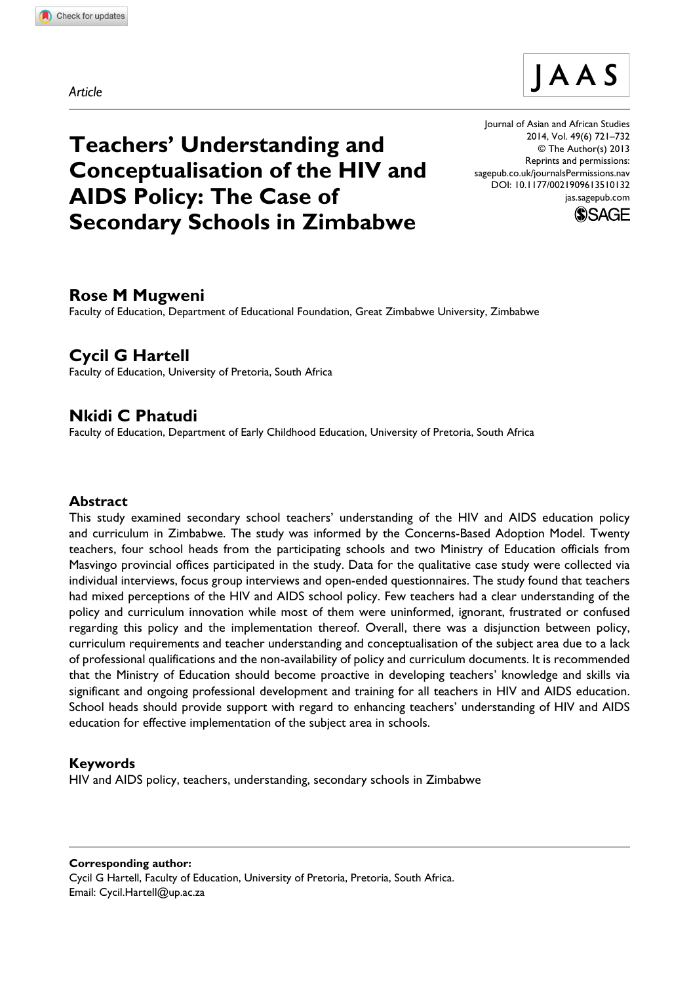

**Teachers' Understanding and Conceptualisation of the HIV and AIDS Policy: The Case of Secondary Schools in Zimbabwe**

Journal of Asian and African Studies 2014, Vol. 49(6) 721–732 © The Author(s) 2013 Reprints and permissions: sagepub.co.uk/journalsPermissions.nav DOI: 10.1177/0021909613510132 jas.sagepub.com



## **Rose M Mugweni**

Faculty of Education, Department of Educational Foundation, Great Zimbabwe University, Zimbabwe

# **Cycil G Hartell**

Faculty of Education, University of Pretoria, South Africa

# **Nkidi C Phatudi**

Faculty of Education, Department of Early Childhood Education, University of Pretoria, South Africa

#### **Abstract**

This study examined secondary school teachers' understanding of the HIV and AIDS education policy and curriculum in Zimbabwe. The study was informed by the Concerns-Based Adoption Model. Twenty teachers, four school heads from the participating schools and two Ministry of Education officials from Masvingo provincial offices participated in the study. Data for the qualitative case study were collected via individual interviews, focus group interviews and open-ended questionnaires. The study found that teachers had mixed perceptions of the HIV and AIDS school policy. Few teachers had a clear understanding of the policy and curriculum innovation while most of them were uninformed, ignorant, frustrated or confused regarding this policy and the implementation thereof. Overall, there was a disjunction between policy, curriculum requirements and teacher understanding and conceptualisation of the subject area due to a lack of professional qualifications and the non-availability of policy and curriculum documents. It is recommended that the Ministry of Education should become proactive in developing teachers' knowledge and skills via significant and ongoing professional development and training for all teachers in HIV and AIDS education. School heads should provide support with regard to enhancing teachers' understanding of HIV and AIDS education for effective implementation of the subject area in schools.

#### **Keywords**

HIV and AIDS policy, teachers, understanding, secondary schools in Zimbabwe

**Corresponding author:**

Cycil G Hartell, Faculty of Education, University of Pretoria, Pretoria, South Africa. Email: [Cycil.Hartell@up.ac.za](mailto:Cycil.Hartell@up.ac.za)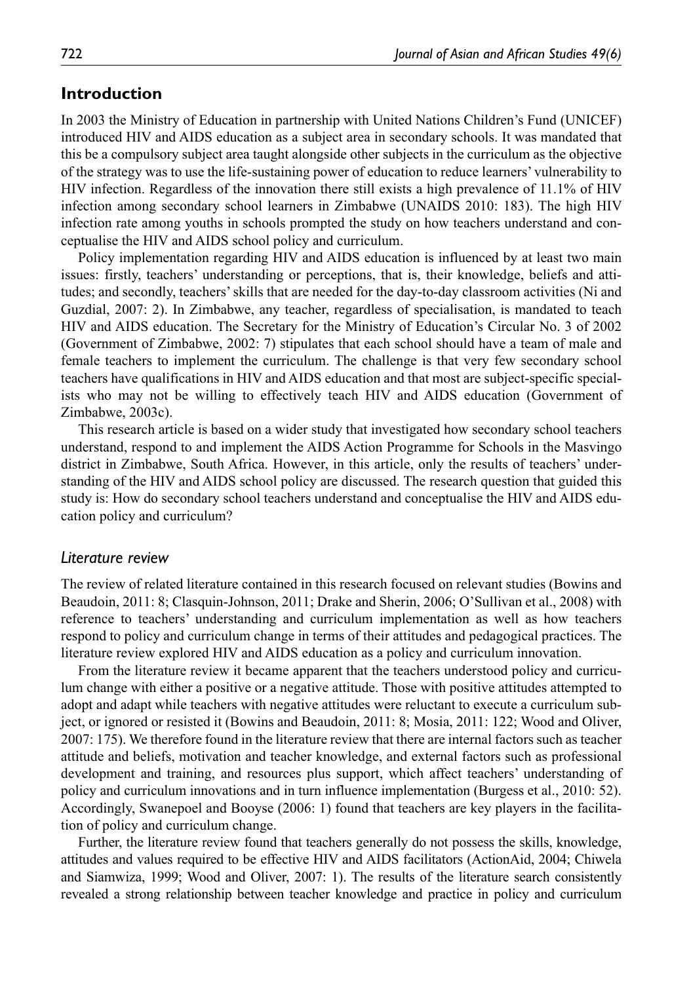### **Introduction**

In 2003 the Ministry of Education in partnership with United Nations Children's Fund (UNICEF) introduced HIV and AIDS education as a subject area in secondary schools. It was mandated that this be a compulsory subject area taught alongside other subjects in the curriculum as the objective of the strategy was to use the life-sustaining power of education to reduce learners' vulnerability to HIV infection. Regardless of the innovation there still exists a high prevalence of 11.1% of HIV infection among secondary school learners in Zimbabwe (UNAIDS 2010: 183). The high HIV infection rate among youths in schools prompted the study on how teachers understand and conceptualise the HIV and AIDS school policy and curriculum.

Policy implementation regarding HIV and AIDS education is influenced by at least two main issues: firstly, teachers' understanding or perceptions, that is, their knowledge, beliefs and attitudes; and secondly, teachers' skills that are needed for the day-to-day classroom activities (Ni and Guzdial, 2007: 2). In Zimbabwe, any teacher, regardless of specialisation, is mandated to teach HIV and AIDS education. The Secretary for the Ministry of Education's Circular No. 3 of 2002 (Government of Zimbabwe, 2002: 7) stipulates that each school should have a team of male and female teachers to implement the curriculum. The challenge is that very few secondary school teachers have qualifications in HIV and AIDS education and that most are subject-specific specialists who may not be willing to effectively teach HIV and AIDS education (Government of Zimbabwe, 2003c).

This research article is based on a wider study that investigated how secondary school teachers understand, respond to and implement the AIDS Action Programme for Schools in the Masvingo district in Zimbabwe, South Africa. However, in this article, only the results of teachers' understanding of the HIV and AIDS school policy are discussed. The research question that guided this study is: How do secondary school teachers understand and conceptualise the HIV and AIDS education policy and curriculum?

### *Literature review*

The review of related literature contained in this research focused on relevant studies (Bowins and Beaudoin, 2011: 8; Clasquin-Johnson, 2011; Drake and Sherin, 2006; O'Sullivan et al., 2008) with reference to teachers' understanding and curriculum implementation as well as how teachers respond to policy and curriculum change in terms of their attitudes and pedagogical practices. The literature review explored HIV and AIDS education as a policy and curriculum innovation.

From the literature review it became apparent that the teachers understood policy and curriculum change with either a positive or a negative attitude. Those with positive attitudes attempted to adopt and adapt while teachers with negative attitudes were reluctant to execute a curriculum subject, or ignored or resisted it (Bowins and Beaudoin, 2011: 8; Mosia, 2011: 122; Wood and Oliver, 2007: 175). We therefore found in the literature review that there are internal factors such as teacher attitude and beliefs, motivation and teacher knowledge, and external factors such as professional development and training, and resources plus support, which affect teachers' understanding of policy and curriculum innovations and in turn influence implementation (Burgess et al., 2010: 52). Accordingly, Swanepoel and Booyse (2006: 1) found that teachers are key players in the facilitation of policy and curriculum change.

Further, the literature review found that teachers generally do not possess the skills, knowledge, attitudes and values required to be effective HIV and AIDS facilitators (ActionAid, 2004; Chiwela and Siamwiza, 1999; Wood and Oliver, 2007: 1). The results of the literature search consistently revealed a strong relationship between teacher knowledge and practice in policy and curriculum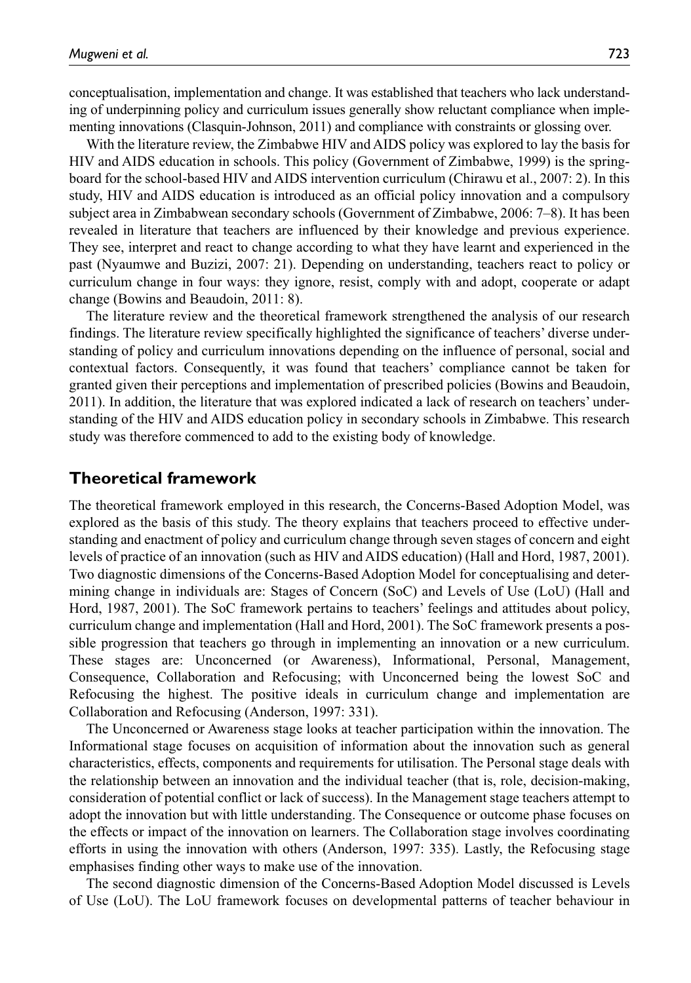conceptualisation, implementation and change. It was established that teachers who lack understanding of underpinning policy and curriculum issues generally show reluctant compliance when implementing innovations (Clasquin-Johnson, 2011) and compliance with constraints or glossing over.

With the literature review, the Zimbabwe HIV and AIDS policy was explored to lay the basis for HIV and AIDS education in schools. This policy (Government of Zimbabwe, 1999) is the springboard for the school-based HIV and AIDS intervention curriculum (Chirawu et al., 2007: 2). In this study, HIV and AIDS education is introduced as an official policy innovation and a compulsory subject area in Zimbabwean secondary schools (Government of Zimbabwe, 2006: 7–8). It has been revealed in literature that teachers are influenced by their knowledge and previous experience. They see, interpret and react to change according to what they have learnt and experienced in the past (Nyaumwe and Buzizi, 2007: 21). Depending on understanding, teachers react to policy or curriculum change in four ways: they ignore, resist, comply with and adopt, cooperate or adapt change (Bowins and Beaudoin, 2011: 8).

The literature review and the theoretical framework strengthened the analysis of our research findings. The literature review specifically highlighted the significance of teachers' diverse understanding of policy and curriculum innovations depending on the influence of personal, social and contextual factors. Consequently, it was found that teachers' compliance cannot be taken for granted given their perceptions and implementation of prescribed policies (Bowins and Beaudoin, 2011). In addition, the literature that was explored indicated a lack of research on teachers' understanding of the HIV and AIDS education policy in secondary schools in Zimbabwe. This research study was therefore commenced to add to the existing body of knowledge.

### **Theoretical framework**

The theoretical framework employed in this research, the Concerns-Based Adoption Model, was explored as the basis of this study. The theory explains that teachers proceed to effective understanding and enactment of policy and curriculum change through seven stages of concern and eight levels of practice of an innovation (such as HIV and AIDS education) (Hall and Hord, 1987, 2001). Two diagnostic dimensions of the Concerns-Based Adoption Model for conceptualising and determining change in individuals are: Stages of Concern (SoC) and Levels of Use (LoU) (Hall and Hord, 1987, 2001). The SoC framework pertains to teachers' feelings and attitudes about policy, curriculum change and implementation (Hall and Hord, 2001). The SoC framework presents a possible progression that teachers go through in implementing an innovation or a new curriculum. These stages are: Unconcerned (or Awareness), Informational, Personal, Management, Consequence, Collaboration and Refocusing; with Unconcerned being the lowest SoC and Refocusing the highest. The positive ideals in curriculum change and implementation are Collaboration and Refocusing (Anderson, 1997: 331).

The Unconcerned or Awareness stage looks at teacher participation within the innovation. The Informational stage focuses on acquisition of information about the innovation such as general characteristics, effects, components and requirements for utilisation. The Personal stage deals with the relationship between an innovation and the individual teacher (that is, role, decision-making, consideration of potential conflict or lack of success). In the Management stage teachers attempt to adopt the innovation but with little understanding. The Consequence or outcome phase focuses on the effects or impact of the innovation on learners. The Collaboration stage involves coordinating efforts in using the innovation with others (Anderson, 1997: 335). Lastly, the Refocusing stage emphasises finding other ways to make use of the innovation.

The second diagnostic dimension of the Concerns-Based Adoption Model discussed is Levels of Use (LoU). The LoU framework focuses on developmental patterns of teacher behaviour in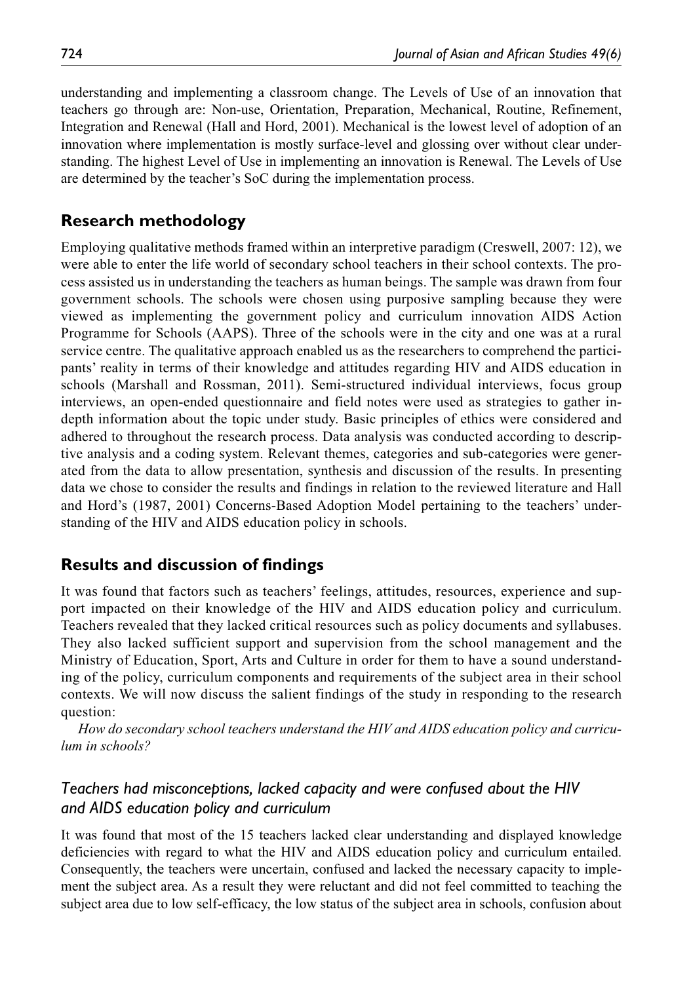understanding and implementing a classroom change. The Levels of Use of an innovation that teachers go through are: Non-use, Orientation, Preparation, Mechanical, Routine, Refinement, Integration and Renewal (Hall and Hord, 2001). Mechanical is the lowest level of adoption of an innovation where implementation is mostly surface-level and glossing over without clear understanding. The highest Level of Use in implementing an innovation is Renewal. The Levels of Use are determined by the teacher's SoC during the implementation process.

## **Research methodology**

Employing qualitative methods framed within an interpretive paradigm (Creswell, 2007: 12), we were able to enter the life world of secondary school teachers in their school contexts. The process assisted us in understanding the teachers as human beings. The sample was drawn from four government schools. The schools were chosen using purposive sampling because they were viewed as implementing the government policy and curriculum innovation AIDS Action Programme for Schools (AAPS). Three of the schools were in the city and one was at a rural service centre. The qualitative approach enabled us as the researchers to comprehend the participants' reality in terms of their knowledge and attitudes regarding HIV and AIDS education in schools (Marshall and Rossman, 2011). Semi-structured individual interviews, focus group interviews, an open-ended questionnaire and field notes were used as strategies to gather indepth information about the topic under study. Basic principles of ethics were considered and adhered to throughout the research process. Data analysis was conducted according to descriptive analysis and a coding system. Relevant themes, categories and sub-categories were generated from the data to allow presentation, synthesis and discussion of the results. In presenting data we chose to consider the results and findings in relation to the reviewed literature and Hall and Hord's (1987, 2001) Concerns-Based Adoption Model pertaining to the teachers' understanding of the HIV and AIDS education policy in schools.

## **Results and discussion of findings**

It was found that factors such as teachers' feelings, attitudes, resources, experience and support impacted on their knowledge of the HIV and AIDS education policy and curriculum. Teachers revealed that they lacked critical resources such as policy documents and syllabuses. They also lacked sufficient support and supervision from the school management and the Ministry of Education, Sport, Arts and Culture in order for them to have a sound understanding of the policy, curriculum components and requirements of the subject area in their school contexts. We will now discuss the salient findings of the study in responding to the research question:

*How do secondary school teachers understand the HIV and AIDS education policy and curriculum in schools?*

# *Teachers had misconceptions, lacked capacity and were confused about the HIV and AIDS education policy and curriculum*

It was found that most of the 15 teachers lacked clear understanding and displayed knowledge deficiencies with regard to what the HIV and AIDS education policy and curriculum entailed. Consequently, the teachers were uncertain, confused and lacked the necessary capacity to implement the subject area. As a result they were reluctant and did not feel committed to teaching the subject area due to low self-efficacy, the low status of the subject area in schools, confusion about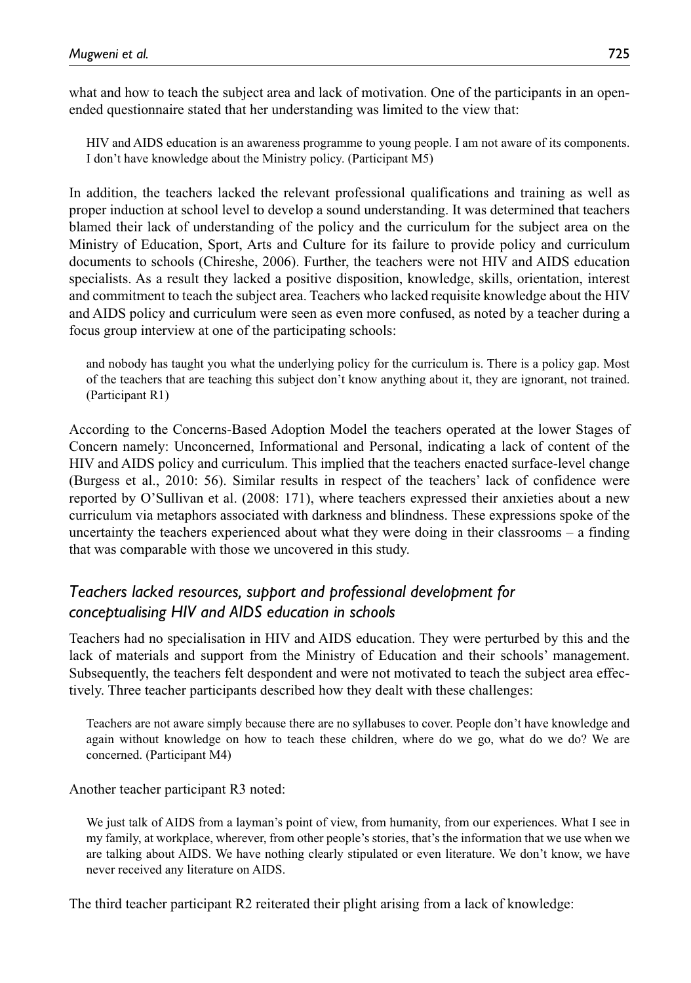what and how to teach the subject area and lack of motivation. One of the participants in an openended questionnaire stated that her understanding was limited to the view that:

HIV and AIDS education is an awareness programme to young people. I am not aware of its components. I don't have knowledge about the Ministry policy. (Participant M5)

In addition, the teachers lacked the relevant professional qualifications and training as well as proper induction at school level to develop a sound understanding. It was determined that teachers blamed their lack of understanding of the policy and the curriculum for the subject area on the Ministry of Education, Sport, Arts and Culture for its failure to provide policy and curriculum documents to schools (Chireshe, 2006). Further, the teachers were not HIV and AIDS education specialists. As a result they lacked a positive disposition, knowledge, skills, orientation, interest and commitment to teach the subject area. Teachers who lacked requisite knowledge about the HIV and AIDS policy and curriculum were seen as even more confused, as noted by a teacher during a focus group interview at one of the participating schools:

and nobody has taught you what the underlying policy for the curriculum is. There is a policy gap. Most of the teachers that are teaching this subject don't know anything about it, they are ignorant, not trained. (Participant R1)

According to the Concerns-Based Adoption Model the teachers operated at the lower Stages of Concern namely: Unconcerned, Informational and Personal, indicating a lack of content of the HIV and AIDS policy and curriculum. This implied that the teachers enacted surface-level change (Burgess et al., 2010: 56). Similar results in respect of the teachers' lack of confidence were reported by O'Sullivan et al. (2008: 171), where teachers expressed their anxieties about a new curriculum via metaphors associated with darkness and blindness. These expressions spoke of the uncertainty the teachers experienced about what they were doing in their classrooms – a finding that was comparable with those we uncovered in this study.

# *Teachers lacked resources, support and professional development for conceptualising HIV and AIDS education in schools*

Teachers had no specialisation in HIV and AIDS education. They were perturbed by this and the lack of materials and support from the Ministry of Education and their schools' management. Subsequently, the teachers felt despondent and were not motivated to teach the subject area effectively. Three teacher participants described how they dealt with these challenges:

Teachers are not aware simply because there are no syllabuses to cover. People don't have knowledge and again without knowledge on how to teach these children, where do we go, what do we do? We are concerned. (Participant M4)

Another teacher participant R3 noted:

We just talk of AIDS from a layman's point of view, from humanity, from our experiences. What I see in my family, at workplace, wherever, from other people's stories, that's the information that we use when we are talking about AIDS. We have nothing clearly stipulated or even literature. We don't know, we have never received any literature on AIDS.

The third teacher participant R2 reiterated their plight arising from a lack of knowledge: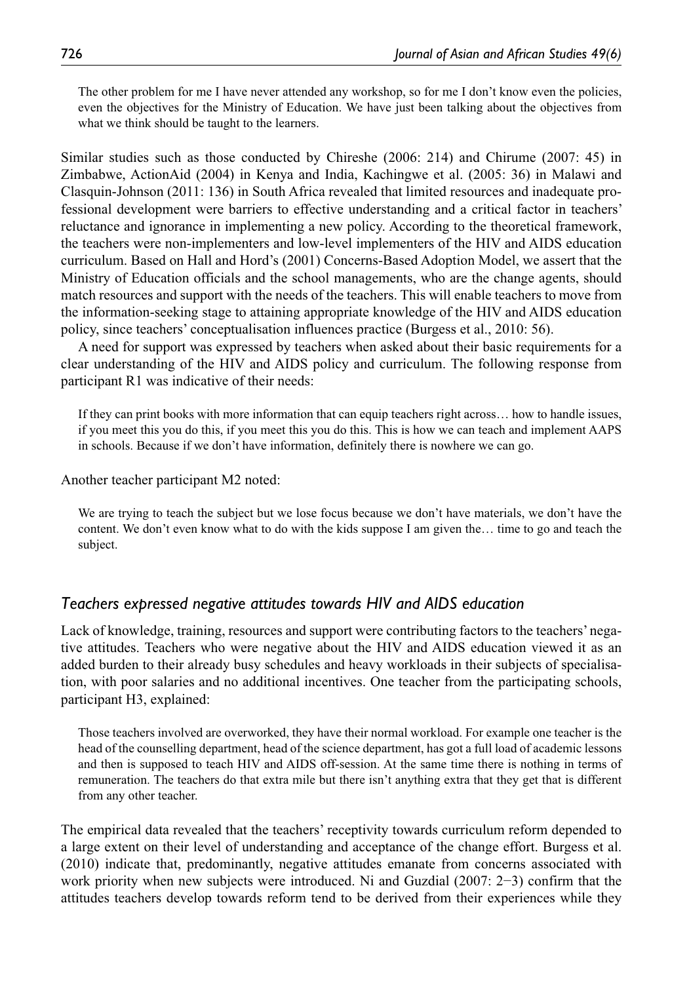The other problem for me I have never attended any workshop, so for me I don't know even the policies, even the objectives for the Ministry of Education. We have just been talking about the objectives from what we think should be taught to the learners.

Similar studies such as those conducted by Chireshe (2006: 214) and Chirume (2007: 45) in Zimbabwe, ActionAid (2004) in Kenya and India, Kachingwe et al. (2005: 36) in Malawi and Clasquin-Johnson (2011: 136) in South Africa revealed that limited resources and inadequate professional development were barriers to effective understanding and a critical factor in teachers' reluctance and ignorance in implementing a new policy. According to the theoretical framework, the teachers were non-implementers and low-level implementers of the HIV and AIDS education curriculum. Based on Hall and Hord's (2001) Concerns-Based Adoption Model, we assert that the Ministry of Education officials and the school managements, who are the change agents, should match resources and support with the needs of the teachers. This will enable teachers to move from the information-seeking stage to attaining appropriate knowledge of the HIV and AIDS education policy, since teachers' conceptualisation influences practice (Burgess et al., 2010: 56).

A need for support was expressed by teachers when asked about their basic requirements for a clear understanding of the HIV and AIDS policy and curriculum. The following response from participant R1 was indicative of their needs:

If they can print books with more information that can equip teachers right across… how to handle issues, if you meet this you do this, if you meet this you do this. This is how we can teach and implement AAPS in schools. Because if we don't have information, definitely there is nowhere we can go.

Another teacher participant M2 noted:

We are trying to teach the subject but we lose focus because we don't have materials, we don't have the content. We don't even know what to do with the kids suppose I am given the… time to go and teach the subject.

## *Teachers expressed negative attitudes towards HIV and AIDS education*

Lack of knowledge, training, resources and support were contributing factors to the teachers' negative attitudes. Teachers who were negative about the HIV and AIDS education viewed it as an added burden to their already busy schedules and heavy workloads in their subjects of specialisation, with poor salaries and no additional incentives. One teacher from the participating schools, participant H3, explained:

Those teachers involved are overworked, they have their normal workload. For example one teacher is the head of the counselling department, head of the science department, has got a full load of academic lessons and then is supposed to teach HIV and AIDS off-session. At the same time there is nothing in terms of remuneration. The teachers do that extra mile but there isn't anything extra that they get that is different from any other teacher.

The empirical data revealed that the teachers' receptivity towards curriculum reform depended to a large extent on their level of understanding and acceptance of the change effort. Burgess et al. (2010) indicate that, predominantly, negative attitudes emanate from concerns associated with work priority when new subjects were introduced. Ni and Guzdial (2007: 2−3) confirm that the attitudes teachers develop towards reform tend to be derived from their experiences while they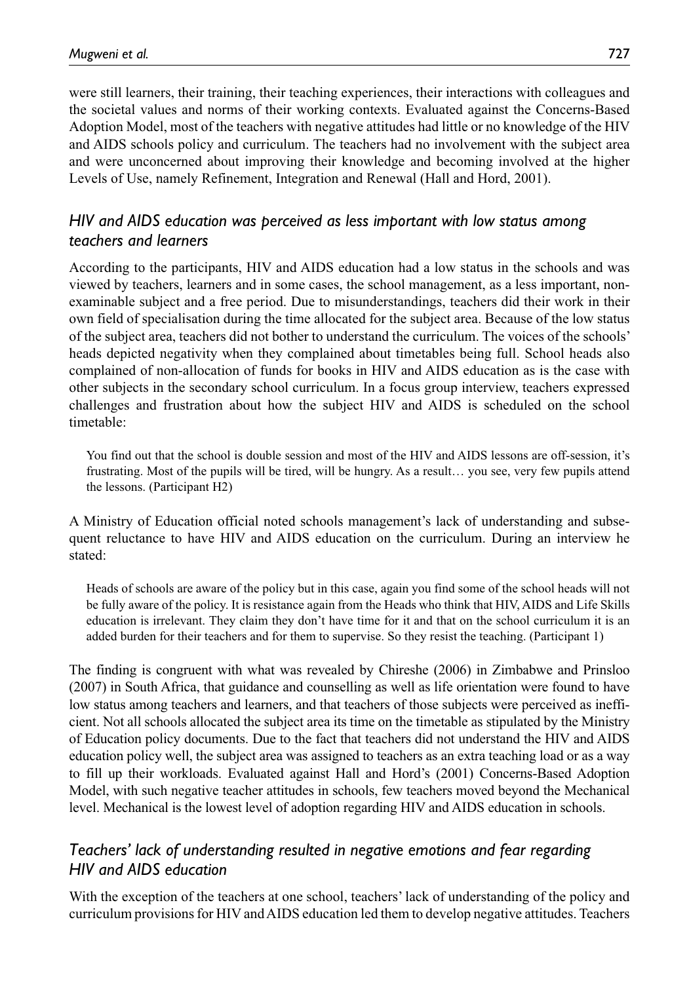were still learners, their training, their teaching experiences, their interactions with colleagues and the societal values and norms of their working contexts. Evaluated against the Concerns-Based Adoption Model, most of the teachers with negative attitudes had little or no knowledge of the HIV and AIDS schools policy and curriculum. The teachers had no involvement with the subject area and were unconcerned about improving their knowledge and becoming involved at the higher Levels of Use, namely Refinement, Integration and Renewal (Hall and Hord, 2001).

# *HIV and AIDS education was perceived as less important with low status among teachers and learners*

According to the participants, HIV and AIDS education had a low status in the schools and was viewed by teachers, learners and in some cases, the school management, as a less important, nonexaminable subject and a free period. Due to misunderstandings, teachers did their work in their own field of specialisation during the time allocated for the subject area. Because of the low status of the subject area, teachers did not bother to understand the curriculum. The voices of the schools' heads depicted negativity when they complained about timetables being full. School heads also complained of non-allocation of funds for books in HIV and AIDS education as is the case with other subjects in the secondary school curriculum. In a focus group interview, teachers expressed challenges and frustration about how the subject HIV and AIDS is scheduled on the school timetable:

You find out that the school is double session and most of the HIV and AIDS lessons are off-session, it's frustrating. Most of the pupils will be tired, will be hungry. As a result… you see, very few pupils attend the lessons. (Participant H2)

A Ministry of Education official noted schools management's lack of understanding and subsequent reluctance to have HIV and AIDS education on the curriculum. During an interview he stated:

Heads of schools are aware of the policy but in this case, again you find some of the school heads will not be fully aware of the policy. It is resistance again from the Heads who think that HIV, AIDS and Life Skills education is irrelevant. They claim they don't have time for it and that on the school curriculum it is an added burden for their teachers and for them to supervise. So they resist the teaching. (Participant 1)

The finding is congruent with what was revealed by Chireshe (2006) in Zimbabwe and Prinsloo (2007) in South Africa, that guidance and counselling as well as life orientation were found to have low status among teachers and learners, and that teachers of those subjects were perceived as inefficient. Not all schools allocated the subject area its time on the timetable as stipulated by the Ministry of Education policy documents. Due to the fact that teachers did not understand the HIV and AIDS education policy well, the subject area was assigned to teachers as an extra teaching load or as a way to fill up their workloads. Evaluated against Hall and Hord's (2001) Concerns-Based Adoption Model, with such negative teacher attitudes in schools, few teachers moved beyond the Mechanical level. Mechanical is the lowest level of adoption regarding HIV and AIDS education in schools.

# *Teachers' lack of understanding resulted in negative emotions and fear regarding HIV and AIDS education*

With the exception of the teachers at one school, teachers' lack of understanding of the policy and curriculum provisions for HIV and AIDS education led them to develop negative attitudes. Teachers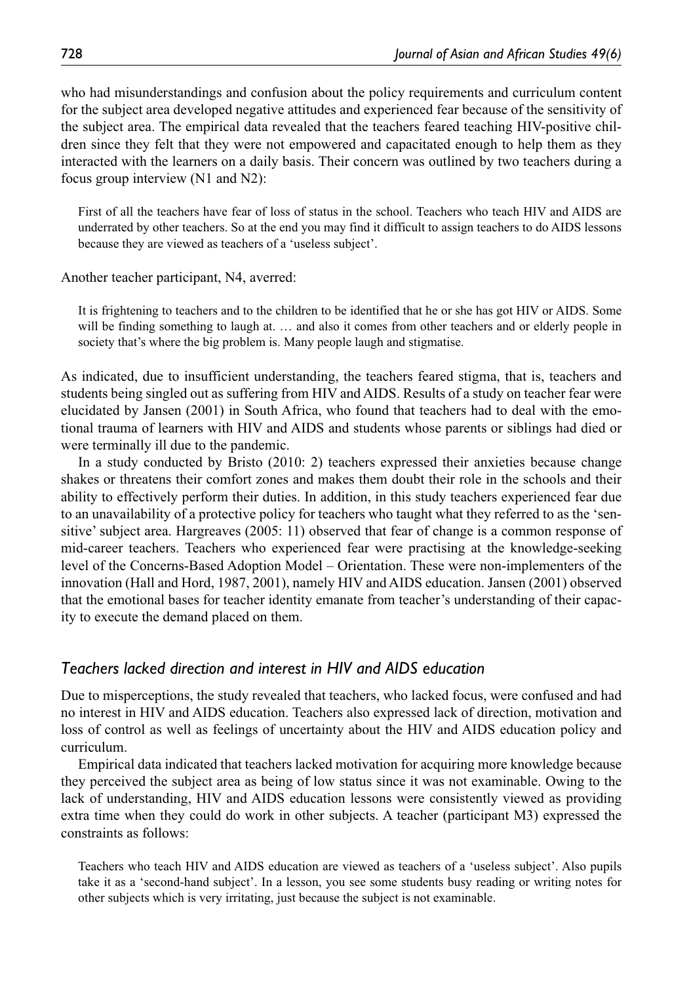who had misunderstandings and confusion about the policy requirements and curriculum content for the subject area developed negative attitudes and experienced fear because of the sensitivity of the subject area. The empirical data revealed that the teachers feared teaching HIV-positive children since they felt that they were not empowered and capacitated enough to help them as they interacted with the learners on a daily basis. Their concern was outlined by two teachers during a focus group interview (N1 and N2):

First of all the teachers have fear of loss of status in the school. Teachers who teach HIV and AIDS are underrated by other teachers. So at the end you may find it difficult to assign teachers to do AIDS lessons because they are viewed as teachers of a 'useless subject'.

Another teacher participant, N4, averred:

It is frightening to teachers and to the children to be identified that he or she has got HIV or AIDS. Some will be finding something to laugh at. … and also it comes from other teachers and or elderly people in society that's where the big problem is. Many people laugh and stigmatise.

As indicated, due to insufficient understanding, the teachers feared stigma, that is, teachers and students being singled out as suffering from HIV and AIDS. Results of a study on teacher fear were elucidated by Jansen (2001) in South Africa, who found that teachers had to deal with the emotional trauma of learners with HIV and AIDS and students whose parents or siblings had died or were terminally ill due to the pandemic.

In a study conducted by Bristo (2010: 2) teachers expressed their anxieties because change shakes or threatens their comfort zones and makes them doubt their role in the schools and their ability to effectively perform their duties. In addition, in this study teachers experienced fear due to an unavailability of a protective policy for teachers who taught what they referred to as the 'sensitive' subject area. Hargreaves (2005: 11) observed that fear of change is a common response of mid-career teachers. Teachers who experienced fear were practising at the knowledge-seeking level of the Concerns-Based Adoption Model – Orientation. These were non-implementers of the innovation (Hall and Hord, 1987, 2001), namely HIV and AIDS education. Jansen (2001) observed that the emotional bases for teacher identity emanate from teacher's understanding of their capacity to execute the demand placed on them.

#### *Teachers lacked direction and interest in HIV and AIDS education*

Due to misperceptions, the study revealed that teachers, who lacked focus, were confused and had no interest in HIV and AIDS education. Teachers also expressed lack of direction, motivation and loss of control as well as feelings of uncertainty about the HIV and AIDS education policy and curriculum.

Empirical data indicated that teachers lacked motivation for acquiring more knowledge because they perceived the subject area as being of low status since it was not examinable. Owing to the lack of understanding, HIV and AIDS education lessons were consistently viewed as providing extra time when they could do work in other subjects. A teacher (participant M3) expressed the constraints as follows:

Teachers who teach HIV and AIDS education are viewed as teachers of a 'useless subject'. Also pupils take it as a 'second-hand subject'. In a lesson, you see some students busy reading or writing notes for other subjects which is very irritating, just because the subject is not examinable.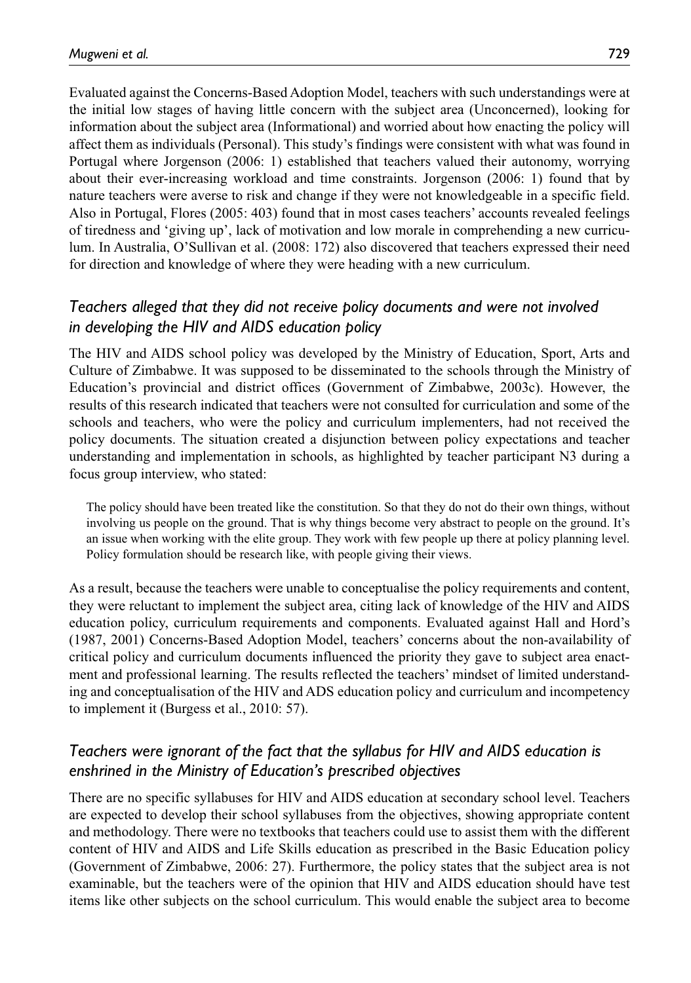Evaluated against the Concerns-Based Adoption Model, teachers with such understandings were at the initial low stages of having little concern with the subject area (Unconcerned), looking for information about the subject area (Informational) and worried about how enacting the policy will affect them as individuals (Personal). This study's findings were consistent with what was found in Portugal where Jorgenson (2006: 1) established that teachers valued their autonomy, worrying about their ever-increasing workload and time constraints. Jorgenson (2006: 1) found that by nature teachers were averse to risk and change if they were not knowledgeable in a specific field. Also in Portugal, Flores (2005: 403) found that in most cases teachers' accounts revealed feelings of tiredness and 'giving up', lack of motivation and low morale in comprehending a new curriculum. In Australia, O'Sullivan et al. (2008: 172) also discovered that teachers expressed their need for direction and knowledge of where they were heading with a new curriculum.

# *Teachers alleged that they did not receive policy documents and were not involved in developing the HIV and AIDS education policy*

The HIV and AIDS school policy was developed by the Ministry of Education, Sport, Arts and Culture of Zimbabwe. It was supposed to be disseminated to the schools through the Ministry of Education's provincial and district offices (Government of Zimbabwe, 2003c). However, the results of this research indicated that teachers were not consulted for curriculation and some of the schools and teachers, who were the policy and curriculum implementers, had not received the policy documents. The situation created a disjunction between policy expectations and teacher understanding and implementation in schools, as highlighted by teacher participant N3 during a focus group interview, who stated:

The policy should have been treated like the constitution. So that they do not do their own things, without involving us people on the ground. That is why things become very abstract to people on the ground. It's an issue when working with the elite group. They work with few people up there at policy planning level. Policy formulation should be research like, with people giving their views.

As a result, because the teachers were unable to conceptualise the policy requirements and content, they were reluctant to implement the subject area, citing lack of knowledge of the HIV and AIDS education policy, curriculum requirements and components. Evaluated against Hall and Hord's (1987, 2001) Concerns-Based Adoption Model, teachers' concerns about the non-availability of critical policy and curriculum documents influenced the priority they gave to subject area enactment and professional learning. The results reflected the teachers' mindset of limited understanding and conceptualisation of the HIV and ADS education policy and curriculum and incompetency to implement it (Burgess et al., 2010: 57).

# *Teachers were ignorant of the fact that the syllabus for HIV and AIDS education is enshrined in the Ministry of Education's prescribed objectives*

There are no specific syllabuses for HIV and AIDS education at secondary school level. Teachers are expected to develop their school syllabuses from the objectives, showing appropriate content and methodology. There were no textbooks that teachers could use to assist them with the different content of HIV and AIDS and Life Skills education as prescribed in the Basic Education policy (Government of Zimbabwe, 2006: 27). Furthermore, the policy states that the subject area is not examinable, but the teachers were of the opinion that HIV and AIDS education should have test items like other subjects on the school curriculum. This would enable the subject area to become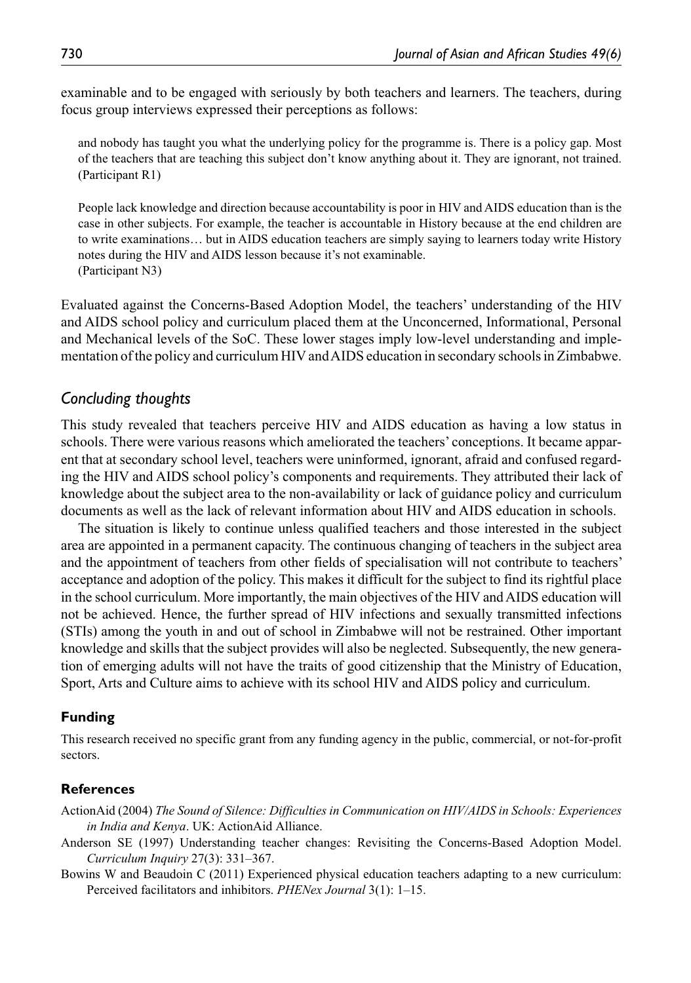examinable and to be engaged with seriously by both teachers and learners. The teachers, during focus group interviews expressed their perceptions as follows:

and nobody has taught you what the underlying policy for the programme is. There is a policy gap. Most of the teachers that are teaching this subject don't know anything about it. They are ignorant, not trained. (Participant R1)

People lack knowledge and direction because accountability is poor in HIV and AIDS education than is the case in other subjects. For example, the teacher is accountable in History because at the end children are to write examinations… but in AIDS education teachers are simply saying to learners today write History notes during the HIV and AIDS lesson because it's not examinable. (Participant N3)

Evaluated against the Concerns-Based Adoption Model, the teachers' understanding of the HIV and AIDS school policy and curriculum placed them at the Unconcerned, Informational, Personal and Mechanical levels of the SoC. These lower stages imply low-level understanding and implementation of the policy and curriculum HIV and AIDS education in secondary schools in Zimbabwe.

### *Concluding thoughts*

This study revealed that teachers perceive HIV and AIDS education as having a low status in schools. There were various reasons which ameliorated the teachers' conceptions. It became apparent that at secondary school level, teachers were uninformed, ignorant, afraid and confused regarding the HIV and AIDS school policy's components and requirements. They attributed their lack of knowledge about the subject area to the non-availability or lack of guidance policy and curriculum documents as well as the lack of relevant information about HIV and AIDS education in schools.

The situation is likely to continue unless qualified teachers and those interested in the subject area are appointed in a permanent capacity. The continuous changing of teachers in the subject area and the appointment of teachers from other fields of specialisation will not contribute to teachers' acceptance and adoption of the policy. This makes it difficult for the subject to find its rightful place in the school curriculum. More importantly, the main objectives of the HIV and AIDS education will not be achieved. Hence, the further spread of HIV infections and sexually transmitted infections (STIs) among the youth in and out of school in Zimbabwe will not be restrained. Other important knowledge and skills that the subject provides will also be neglected. Subsequently, the new generation of emerging adults will not have the traits of good citizenship that the Ministry of Education, Sport, Arts and Culture aims to achieve with its school HIV and AIDS policy and curriculum.

#### **Funding**

This research received no specific grant from any funding agency in the public, commercial, or not-for-profit sectors.

#### **References**

- ActionAid (2004) *The Sound of Silence: Difficulties in Communication on HIV/AIDS in Schools: Experiences in India and Kenya*. UK: ActionAid Alliance.
- Anderson SE (1997) Understanding teacher changes: Revisiting the Concerns-Based Adoption Model. *Curriculum Inquiry* 27(3): 331–367.
- Bowins W and Beaudoin C (2011) Experienced physical education teachers adapting to a new curriculum: Perceived facilitators and inhibitors. *PHENex Journal* 3(1): 1–15.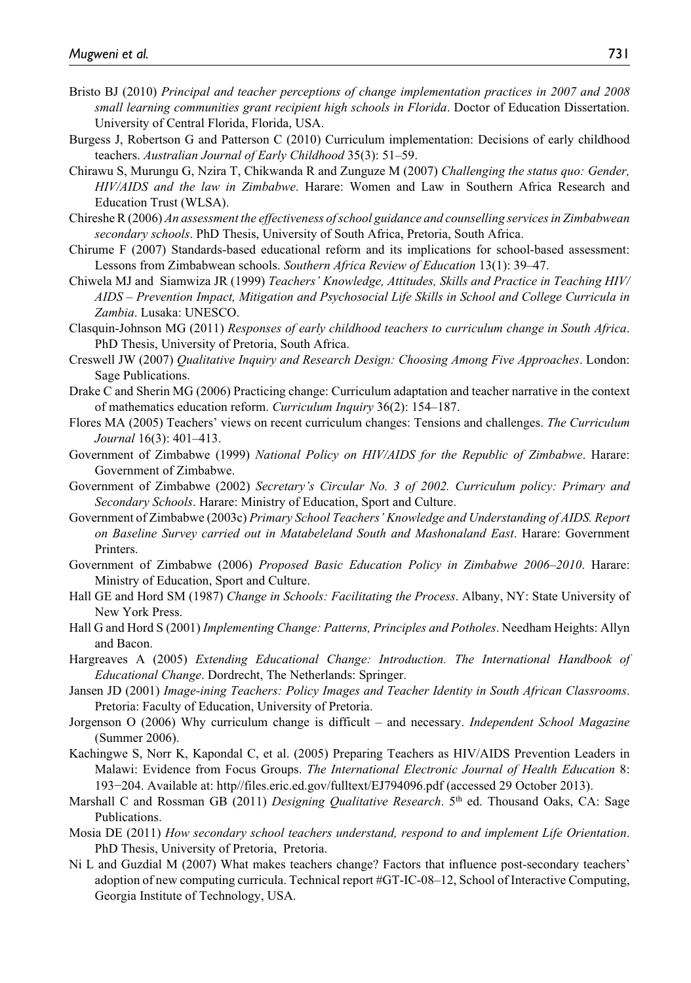- Bristo BJ (2010) *Principal and teacher perceptions of change implementation practices in 2007 and 2008 small learning communities grant recipient high schools in Florida*. Doctor of Education Dissertation. University of Central Florida, Florida, USA.
- Burgess J, Robertson G and Patterson C (2010) Curriculum implementation: Decisions of early childhood teachers. *Australian Journal of Early Childhood* 35(3): 51–59.
- Chirawu S, Murungu G, Nzira T, Chikwanda R and Zunguze M (2007) *Challenging the status quo: Gender, HIV/AIDS and the law in Zimbabwe*. Harare: Women and Law in Southern Africa Research and Education Trust (WLSA).
- Chireshe R (2006) *An assessment the effectiveness of school guidance and counselling services in Zimbabwean secondary schools*. PhD Thesis, University of South Africa, Pretoria, South Africa.
- Chirume F (2007) Standards-based educational reform and its implications for school-based assessment: Lessons from Zimbabwean schools. *Southern Africa Review of Education* 13(1): 39–47.
- Chiwela MJ and Siamwiza JR (1999) *Teachers' Knowledge, Attitudes, Skills and Practice in Teaching HIV/ AIDS – Prevention Impact, Mitigation and Psychosocial Life Skills in School and College Curricula in Zambia*. Lusaka: UNESCO.
- Clasquin-Johnson MG (2011) *Responses of early childhood teachers to curriculum change in South Africa*. PhD Thesis, University of Pretoria, South Africa.
- Creswell JW (2007) *Qualitative Inquiry and Research Design: Choosing Among Five Approaches*. London: Sage Publications.
- Drake C and Sherin MG (2006) Practicing change: Curriculum adaptation and teacher narrative in the context of mathematics education reform. *Curriculum Inquiry* 36(2): 154–187.
- Flores MA (2005) Teachers' views on recent curriculum changes: Tensions and challenges. *The Curriculum Journal* 16(3): 401–413.
- Government of Zimbabwe (1999) *National Policy on HIV/AIDS for the Republic of Zimbabwe*. Harare: Government of Zimbabwe.
- Government of Zimbabwe (2002) *Secretary's Circular No. 3 of 2002. Curriculum policy: Primary and Secondary Schools*. Harare: Ministry of Education, Sport and Culture.
- Government of Zimbabwe (2003c) *Primary School Teachers' Knowledge and Understanding of AIDS. Report on Baseline Survey carried out in Matabeleland South and Mashonaland East*. Harare: Government Printers.
- Government of Zimbabwe (2006) *Proposed Basic Education Policy in Zimbabwe 2006–2010*. Harare: Ministry of Education, Sport and Culture.
- Hall GE and Hord SM (1987) *Change in Schools: Facilitating the Process*. Albany, NY: State University of New York Press.
- Hall G and Hord S (2001) *Implementing Change: Patterns, Principles and Potholes*. Needham Heights: Allyn and Bacon.
- Hargreaves A (2005) *Extending Educational Change: Introduction. The International Handbook of Educational Change*. Dordrecht, The Netherlands: Springer.
- Jansen JD (2001) *Image-ining Teachers: Policy Images and Teacher Identity in South African Classrooms*. Pretoria: Faculty of Education, University of Pretoria.
- Jorgenson O (2006) Why curriculum change is difficult and necessary. *Independent School Magazine* (Summer 2006).
- Kachingwe S, Norr K, Kapondal C, et al. (2005) Preparing Teachers as HIV/AIDS Prevention Leaders in Malawi: Evidence from Focus Groups. *The International Electronic Journal of Health Education* 8: 193−204. Available at:<http//files.eric.ed.gov/fulltext/EJ794096.pdf> (accessed 29 October 2013).
- Marshall C and Rossman GB (2011) *Designing Qualitative Research*. 5th ed. Thousand Oaks, CA: Sage Publications.
- Mosia DE (2011) *How secondary school teachers understand, respond to and implement Life Orientation*. PhD Thesis, University of Pretoria, Pretoria.
- Ni L and Guzdial M (2007) What makes teachers change? Factors that influence post-secondary teachers' adoption of new computing curricula. Technical report #GT-IC-08–12, School of Interactive Computing, Georgia Institute of Technology, USA.